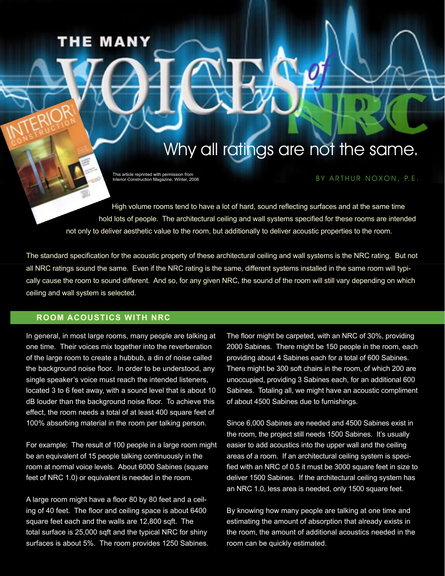# **HE MANY**

# Why all ratings are not the same.

This article reprinted with permission from Interior Construction Magazine, Winter, 2008

### BY ARTHUR NOXON, P.E.

High volume rooms tend to have a lot of hard, sound reflecting surfaces and at the same time hold lots of people. The architectural ceiling and wall systems specified for these rooms are intended not only to deliver aesthetic value to the room, but additionally to deliver acoustic properties to the room.

The standard specification for the acoustic property of these architectural ceiling and wall systems is the NRC rating. But not all NRC ratings sound the same. Even if the NRC rating is the same, different systems installed in the same room will typically cause the room to sound different. And so, for any given NRC, the sound of the room will still vary depending on which ceiling and wall system is selected.

### **ROOM ACOUSTICS WITH NRC**

In general, in most large rooms, many people are talking at one time. Their voices mix together into the reverberation of the large room to create a hubbub, a din of noise called the background noise floor. In order to be understood, any single speaker's voice must reach the intended listeners, located 3 to 6 feet away, with a sound level that is about 10 dB louder than the background noise floor. To achieve this effect, the room needs a total of at least 400 square feet of 100% absorbing material in the room per talking person.

For example: The result of 100 people in a large room might be an equivalent of 15 people talking continuously in the room at normal voice levels. About 6000 Sabines (square feet of NRC 1.0) or equivalent is needed in the room.

A large room might have a floor 80 by 80 feet and a ceiling of 40 feet. The floor and ceiling space is about 6400 square feet each and the walls are 12,800 sqft. The total surface is 25,000 sqft and the typical NRC for shiny surfaces is about 5%. The room provides 1250 Sabines. The floor might be carpeted, with an NRC of 30%, providing 2000 Sabines. There might be 150 people in the room, each providing about 4 Sabines each for a total of 600 Sabines. There might be 300 soft chairs in the room, of which 200 are unoccupied, providing 3 Sabines each, for an additional 600 Sabines. Totaling all, we might have an acoustic compliment of about 4500 Sabines due to furnishings.

Since 6,000 Sabines are needed and 4500 Sabines exist in the room, the project still needs 1500 Sabines. It's usually easier to add acoustics into the upper wall and the ceiling areas of a room. If an architectural ceiling system is specified with an NRC of 0.5 it must be 3000 square feet in size to deliver 1500 Sabines. If the architectural ceiling system has an NRC 1.0, less area is needed, only 1500 square feet.

By knowing how many people are talking at one time and estimating the amount of absorption that already exists in the room, the amount of additional acoustics needed in the room can be quickly estimated.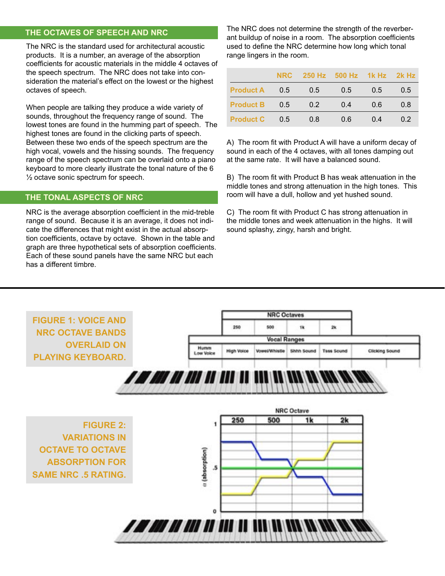## **THE OCTAVES OF SPEECH AND NRC**

The NRC is the standard used for architectural acoustic products. It is a number, an average of the absorption coefficients for acoustic materials in the middle 4 octaves of the speech spectrum. The NRC does not take into consideration the material's effect on the lowest or the highest octaves of speech.

When people are talking they produce a wide variety of sounds, throughout the frequency range of sound. The lowest tones are found in the humming part of speech. The highest tones are found in the clicking parts of speech. Between these two ends of the speech spectrum are the high vocal, vowels and the hissing sounds. The frequency range of the speech spectrum can be overlaid onto a piano keyboard to more clearly illustrate the tonal nature of the 6 ½ octave sonic spectrum for speech.

# The Tonal Aspects of NRC  **THE TONAL ASPECTS OF NRC**

NRC is the average absorption coefficient in the mid-treble range of sound. Because it is an average, it does not indicate the differences that might exist in the actual absorption coefficients, octave by octave. Shown in the table and graph are three hypothetical sets of absorption coefficients. Each of these sound panels have the same NRC but each has a different timbre.

The NRC does not determine the strength of the reverberant buildup of noise in a room. The absorption coefficients used to define the NRC determine how long which tonal range lingers in the room.

|                  | <b>NRC</b> |     | 250 Hz 500 Hz 1k Hz 2k Hz |     |     |
|------------------|------------|-----|---------------------------|-----|-----|
| <b>Product A</b> | 0.5        | 0.5 | 0.5                       | 0.5 | 0.5 |
| <b>Product B</b> | 0.5        | 0.2 | 0.4                       | 0.6 | 0.8 |
| <b>Product C</b> | 0.5        | 0.8 | 0.6                       | 04  | 02  |

A) The room fit with Product A will have a uniform decay of sound in each of the 4 octaves, with all tones damping out at the same rate. It will have a balanced sound.

B) The room fit with Product B has weak attenuation in the middle tones and strong attenuation in the high tones. This room will have a dull, hollow and yet hushed sound.

C) The room fit with Product C has strong attenuation in the middle tones and week attenuation in the highs. It will sound splashy, zingy, harsh and bright.

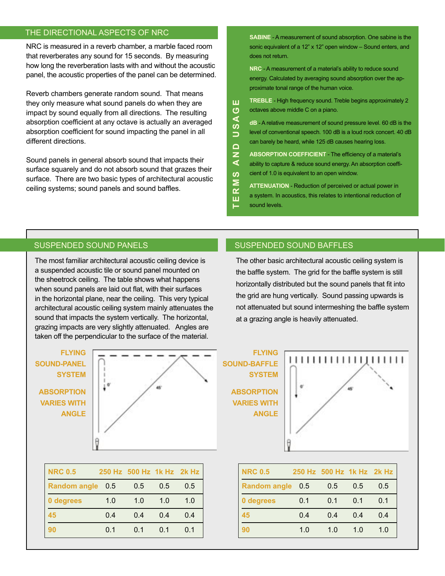# THE DIRECTIONAL ASPECTS OF NRC **SABINE** - A measurement of sound absorption. One sabine is the

NRC is measured in a reverb chamber, a marble faced room that reverberates any sound for 15 seconds. By measuring how long the reverberation lasts with and without the acoustic panel, the acoustic properties of the panel can be determined.

Reverb chambers generate random sound. That means they only measure what sound panels do when they are impact by sound equally from all directions. The resulting absorption coefficient at any octave is actually an averaged absorption coefficient for sound impacting the panel in all different directions.

Sound panels in general absorb sound that impacts their surface squarely and do not absorb sound that grazes their surface. There are two basic types of architectural acoustic ceiling systems; sound panels and sound baffles.

sonic equivalent of a 12" x 12" open window - Sound enters, and does not return.

**NRC** - A measurement of a material's ability to reduce sound energy. Calculated by averaging sound absorption over the approximate tonal range of the human voice.

**TREBLE** - High frequency sound. Treble begins approximately 2 USAG octaves above middle C on a piano.

**dB** - A relative measurement of sound pressure level. 60 dB is the level of conventional speech. 100 dB is a loud rock concert. 40 dB can barely be heard, while 125 dB causes hearing loss.

 $\frac{1}{2}$ **ABSORPTION COEFFICIENT** - The efficiency of a material's ability to capture & reduce sound energy. An absorption coefficient of 1.0 is equivalent to an open window.

**T E R M S A N D U S A G E** SΜ **ATTENUATION** - Reduction of perceived or actual power in  $\alpha$ a system. In acoustics, this relates to intentional reduction of ш

sound levels.

ш

The most familiar architectural acoustic ceiling device is a suspended acoustic tile or sound panel mounted on the sheetrock ceiling. The table shows what happens when sound panels are laid out flat, with their surfaces in the horizontal plane, near the ceiling. This very typical architectural acoustic ceiling system mainly attenuates the sound that impacts the system vertically. The horizontal, grazing impacts are very slightly attenuated. Angles are taken off the perpendicular to the surface of the material.

# **FLYING SOUND-PANEL SYSTEM ABSORPTION VARIES WITH ANGLE**



| <b>NRC 0.5</b>   |     | 250 Hz 500 Hz 1k Hz 2k Hz |     |     |
|------------------|-----|---------------------------|-----|-----|
| Random angle 0.5 |     | 0.5                       | 0.5 | 0.5 |
| 0 degrees        | 1.0 | 1.0                       | 1.0 | 1.0 |
| 45               | 0.4 | 0.4                       | 0.4 | 0.4 |
| 90               | 0.1 | 0.1                       | 0.1 | 0.1 |

### SUSPENDED SOUND PANELS SUSPENDED SOUND BAFFLES

The other basic architectural acoustic ceiling system is the baffle system. The grid for the baffle system is still horizontally distributed but the sound panels that fit into the grid are hung vertically. Sound passing upwards is not attenuated but sound intermeshing the baffle system at a grazing angle is heavily attenuated.





| <b>NRC 0.5</b>      |     | 250 Hz 500 Hz 1k Hz 2k Hz |     |     |
|---------------------|-----|---------------------------|-----|-----|
| <b>Random angle</b> | 0.5 | 0.5                       | 0.5 | 0.5 |
| 0 degrees           | 0.1 | 0.1                       | 0.1 | 0.1 |
| 45                  | 0.4 | 04                        | 04  | 0.4 |
| 90                  | 1.0 | 1.0                       | 1.0 | 1.0 |